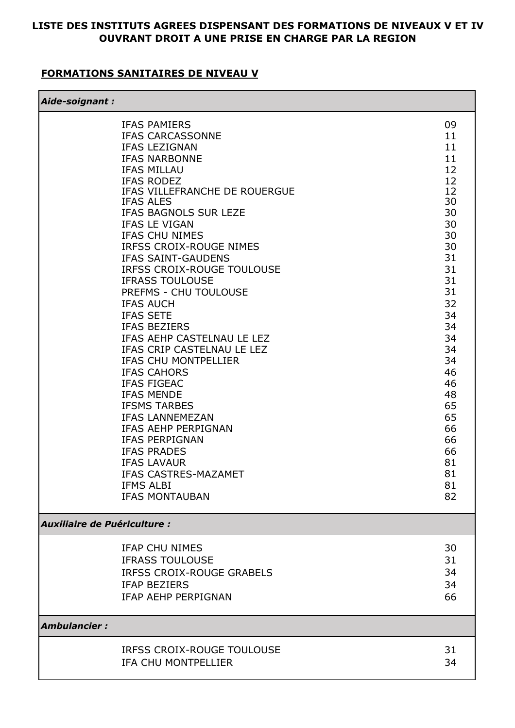# **LISTE DES INSTITUTS AGREES DISPENSANT DES FORMATIONS DE NIVEAUX V ET IV OUVRANT DROIT A UNE PRISE EN CHARGE PAR LA REGION**

# **FORMATIONS SANITAIRES DE NIVEAU V**

*Aide-soignant :*

| Alu <del>c</del> -Sulghant .       |                                          |          |  |
|------------------------------------|------------------------------------------|----------|--|
|                                    | <b>IFAS PAMIERS</b>                      | 09       |  |
|                                    | <b>IFAS CARCASSONNE</b>                  | 11       |  |
|                                    | IFAS LEZIGNAN                            | 11       |  |
|                                    | <b>IFAS NARBONNE</b>                     | 11<br>12 |  |
|                                    | <b>IFAS MILLAU</b><br><b>IFAS RODEZ</b>  | 12       |  |
|                                    | IFAS VILLEFRANCHE DE ROUERGUE            | 12       |  |
|                                    | <b>IFAS ALES</b>                         | 30       |  |
|                                    | IFAS BAGNOLS SUR LEZE                    | 30       |  |
|                                    | IFAS LE VIGAN                            | 30       |  |
|                                    | IFAS CHU NIMES                           | 30       |  |
|                                    | IRFSS CROIX-ROUGE NIMES                  | 30       |  |
|                                    | <b>IFAS SAINT-GAUDENS</b>                | 31       |  |
|                                    | IRFSS CROIX-ROUGE TOULOUSE               | 31       |  |
|                                    | <b>IFRASS TOULOUSE</b>                   | 31       |  |
|                                    | PREFMS - CHU TOULOUSE                    | 31       |  |
|                                    | <b>IFAS AUCH</b>                         | 32       |  |
|                                    | <b>IFAS SETE</b>                         | 34       |  |
|                                    | <b>IFAS BEZIERS</b>                      | 34       |  |
|                                    | IFAS AEHP CASTELNAU LE LEZ               | 34       |  |
|                                    | IFAS CRIP CASTELNAU LE LEZ               | 34       |  |
|                                    | IFAS CHU MONTPELLIER                     | 34       |  |
|                                    | <b>IFAS CAHORS</b><br><b>IFAS FIGEAC</b> | 46<br>46 |  |
|                                    | <b>IFAS MENDE</b>                        | 48       |  |
|                                    | <b>IFSMS TARBES</b>                      | 65       |  |
|                                    | <b>IFAS LANNEMEZAN</b>                   | 65       |  |
|                                    | <b>IFAS AEHP PERPIGNAN</b>               | 66       |  |
|                                    | <b>IFAS PERPIGNAN</b>                    | 66       |  |
|                                    | <b>IFAS PRADES</b>                       | 66       |  |
|                                    | <b>IFAS LAVAUR</b>                       | 81       |  |
|                                    | IFAS CASTRES-MAZAMET                     | 81       |  |
|                                    | <b>IFMS ALBI</b>                         | 81       |  |
|                                    | <b>IFAS MONTAUBAN</b>                    | 82       |  |
| <b>Auxiliaire de Puériculture:</b> |                                          |          |  |
|                                    | <b>IFAP CHU NIMES</b>                    | 30       |  |
|                                    | <b>IFRASS TOULOUSE</b>                   | 31       |  |
|                                    | <b>IRFSS CROIX-ROUGE GRABELS</b>         | 34       |  |
|                                    | <b>IFAP BEZIERS</b>                      | 34       |  |
|                                    | <b>IFAP AEHP PERPIGNAN</b>               | 66       |  |
|                                    |                                          |          |  |
| <b>Ambulancier:</b>                |                                          |          |  |
|                                    | IRFSS CROIX-ROUGE TOULOUSE               | 31       |  |
|                                    | IFA CHU MONTPELLIER                      | 34       |  |
|                                    |                                          |          |  |